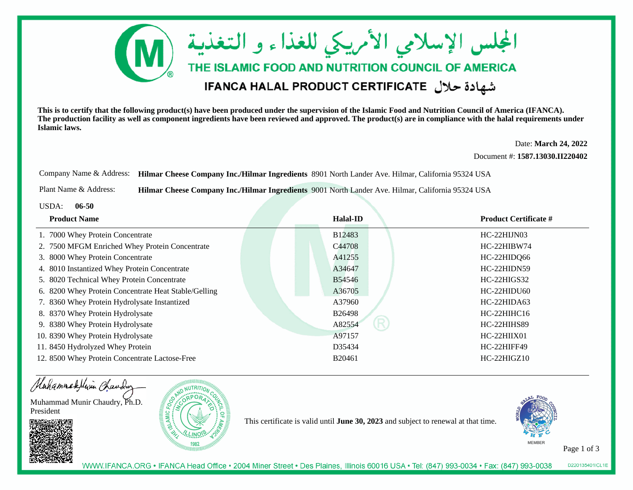

**This is to certify that the following product(s) have been produced under the supervision of the Islamic Food and Nutrition Council of America (IFANCA). The production facility as well as component ingredients have been reviewed and approved. The product(s) are in compliance with the halal requirements underIslamic laws.**

> Date: **March 24, 2022**Document #: **1587.13030.II220402**

Company Name & Address: **Hilmar Cheese Company Inc./Hilmar Ingredients** 8901 North Lander Ave. Hilmar, California 95324 USA

Plant Name & Address:**Hilmar Cheese Company Inc./Hilmar Ingredients** 9001 North Lander Ave. Hilmar, California 95324 USA

USDA: **06-50**

| <b>Product Name</b>                                  | <b>Halal-ID</b> | <b>Product Certificate #</b> |
|------------------------------------------------------|-----------------|------------------------------|
| 1. 7000 Whey Protein Concentrate                     | <b>B12483</b>   | HC-22HIJN03                  |
| 2. 7500 MFGM Enriched Whey Protein Concentrate       | C44708          | HC-22HIBW74                  |
| 3. 8000 Whey Protein Concentrate                     | A41255          | HC-22HIDQ66                  |
| 4. 8010 Instantized Whey Protein Concentrate         | A34647          | HC-22HIDN59                  |
| 5. 8020 Technical Whey Protein Concentrate           | <b>B54546</b>   | HC-22HIGS32                  |
| 6. 8200 Whey Protein Concentrate Heat Stable/Gelling | A36705          | <b>HC-22HIDU60</b>           |
| 7. 8360 Whey Protein Hydrolysate Instantized         | A37960          | HC-22HIDA63                  |
| 8. 8370 Whey Protein Hydrolysate                     | <b>B26498</b>   | $HC-22HHHC16$                |
| 9. 8380 Whey Protein Hydrolysate                     | R<br>A82554     | HC-22HIHS89                  |
| 10. 8390 Whey Protein Hydrolysate                    | A97157          | $HC-22HHIX01$                |
| 11. 8450 Hydrolyzed Whey Protein                     | D35434          | HC-22HIFF49                  |
| 12. 8500 Whey Protein Concentrate Lactose-Free       | B20461          | $HC-22HIGZ10$                |



This certificate is valid until **June 30, 2023** and subject to renewal at that time.



Page 1 of 3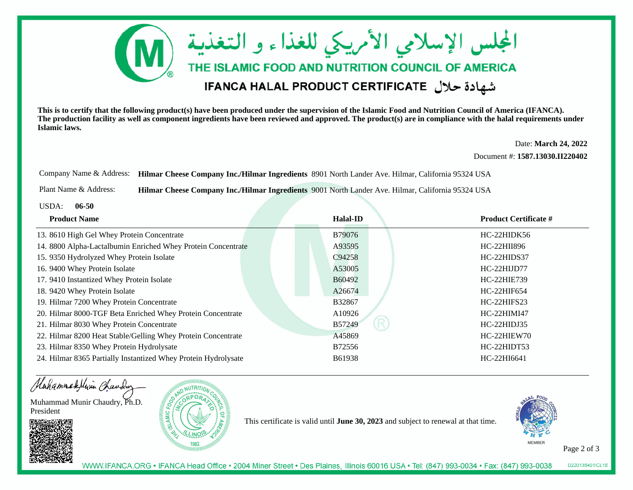

**This is to certify that the following product(s) have been produced under the supervision of the Islamic Food and Nutrition Council of America (IFANCA). The production facility as well as component ingredients have been reviewed and approved. The product(s) are in compliance with the halal requirements underIslamic laws.**

> Date: **March 24, 2022**Document #: **1587.13030.II220402**

Company Name & Address: **Hilmar Cheese Company Inc./Hilmar Ingredients** 8901 North Lander Ave. Hilmar, California 95324 USA

Plant Name & Address:**Hilmar Cheese Company Inc./Hilmar Ingredients** 9001 North Lander Ave. Hilmar, California 95324 USA

USDA: **06-50**

| <b>Product Name</b>                                            | <b>Halal-ID</b>       | <b>Product Certificate #</b> |
|----------------------------------------------------------------|-----------------------|------------------------------|
| 13. 8610 High Gel Whey Protein Concentrate                     | B79076                | HC-22HIDK56                  |
| 14. 8800 Alpha-Lactalbumin Enriched Whey Protein Concentrate   | A93595                | HC-22HII896                  |
| 15. 9350 Hydrolyzed Whey Protein Isolate                       | C94258                | HC-22HIDS37                  |
| 16. 9400 Whey Protein Isolate                                  | A53005                | HC-22HIJD77                  |
| 17. 9410 Instantized Whey Protein Isolate                      | B60492                | HC-22HIE739                  |
| 18. 9420 Whey Protein Isolate                                  | A26674                | HC-22HIF654                  |
| 19. Hilmar 7200 Whey Protein Concentrate                       | B32867                | HC-22HIFS23                  |
| 20. Hilmar 8000-TGF Beta Enriched Whey Protein Concentrate     | A10926                | HC-22HIMI47                  |
| 21. Hilmar 8030 Whey Protein Concentrate                       | $\mathsf R$<br>B57249 | HC-22HIDJ35                  |
| 22. Hilmar 8200 Heat Stable/Gelling Whey Protein Concentrate   | A45869                | HC-22HIEW70                  |
| 23. Hilmar 8350 Whey Protein Hydrolysate                       | B72556                | HC-22HIDT53                  |
| 24. Hilmar 8365 Partially Instantized Whey Protein Hydrolysate | B61938                | HC-22HI6641                  |

Hahammadelivin Chauding

Muhammad Munir Chaudry, Ph.D.President





This certificate is valid until **June 30, 2023** and subject to renewal at that time.



Page 2 of 3